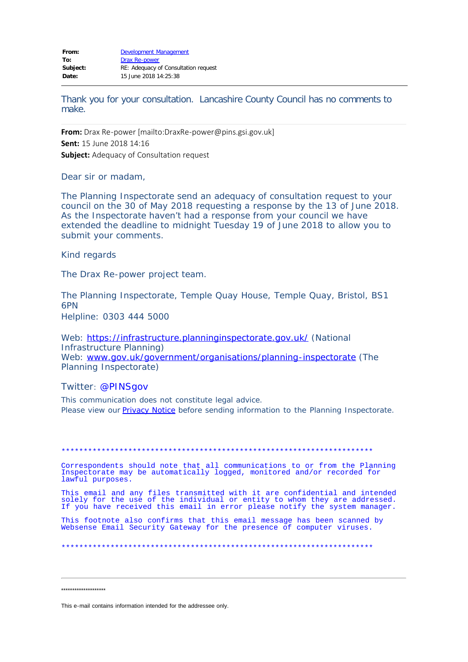Thank you for your consultation. Lancashire County Council has no comments to make.

From: Drax Re-power [mailto:DraxRe-power@pins.gsi.gov.uk] Sent: 15 June 2018 14:16 **Subject:** Adequacy of Consultation request

Dear sir or madam.

The Planning Inspectorate send an adequacy of consultation request to your council on the 30 of May 2018 requesting a response by the 13 of June 2018. As the Inspectorate haven't had a response from your council we have extended the deadline to midnight Tuesday 19 of June 2018 to allow you to submit your comments.

Kind regards

The Drax Re-power project team.

The Planning Inspectorate, Temple Quay House, Temple Quay, Bristol, BS1 6PN

Helpline: 0303 444 5000

Web: https://infrastructure.planninginspectorate.gov.uk/ (National Infrastructure Planning) Web: www.gov.uk/government/organisations/planning-inspectorate (The Planning Inspectorate)

Twitter: @PINSgov

This communication does not constitute legal advice. Please view our **Privacy Notice** before sending information to the Planning Inspectorate.

Correspondents should note that all communications to or from the Planning Inspectorate may be automatically logged, monitored and/or recorded for lawful purposes.

This email and any files transmitted with it are confidential and intended solely for the use of the individual or entity to whom they are addressed.<br>If you have received this email in error please notify the system manager.

This footnote also confirms that this email message has been scanned by Websense Email Security Gateway for the presence of computer viruses.

\*\*\*\*\*\*\*\*\*\*\*\*\*\*\*\*\*\*\*

This e-mail contains information intended for the addressee only.